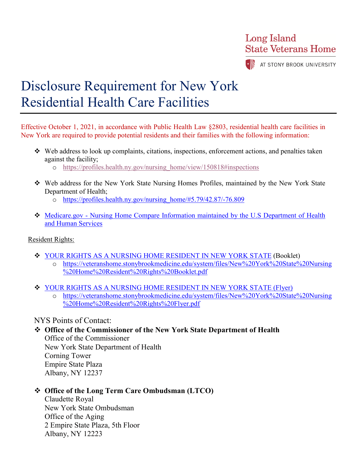**Long Island State Veterans Home** 

AT STONY BROOK UNIVERSITY

# Disclosure Requirement for New York Residential Health Care Facilities

Effective October 1, 2021, in accordance with Public Health Law §2803, residential health care facilities in New York are required to provide potential residents and their families with the following information:

- $\div$  Web address to look up complaints, citations, inspections, enforcement actions, and penalties taken against the facility;
	- o [https://profiles.health.ny.gov/nursing\\_home/view/150818#inspections](https://nam11.safelinks.protection.outlook.com/?url=https%3A%2F%2Fprofiles.health.ny.gov%2Fnursing_home%2Fview%2F150818%23inspections&data=04%7C01%7CLauren.Mahoney%40stonybrookmedicine.edu%7Cb86257f124874d8f884408d963f1cc4e%7Ceafa1b31b194425db36656c215b7760c%7C0%7C0%7C637650712466534195%7CUnknown%7CTWFpbGZsb3d8eyJWIjoiMC4wLjAwMDAiLCJQIjoiV2luMzIiLCJBTiI6Ik1haWwiLCJXVCI6Mn0%3D%7C1000&sdata=1SsYG9wb3ea47dtkE3KUv8GLcTfZxat5r%2Fk1eZ1GmY0%3D&reserved=0)
- Web address for the New York State Nursing Homes Profiles, maintained by the New York State Department of Health;
	- o [https://profiles.health.ny.gov/nursing\\_home/#5.79/42.87/-76.809](https://profiles.health.ny.gov/nursing_home/#5.79/42.87/-76.809)
- Medicare.gov [Nursing Home Compare Information maintained by the U.S Department of Health](https://www.medicare.gov/care-compare/details/nursing-home/335758?id=da00cafc-4cac-4b99-8e3c-7c542d74cd7f&city=Stony%20Brook&state=NY&zipcode=)  [and Human Services](https://www.medicare.gov/care-compare/details/nursing-home/335758?id=da00cafc-4cac-4b99-8e3c-7c542d74cd7f&city=Stony%20Brook&state=NY&zipcode=)

#### Resident Rights:

- YOUR [RIGHTS AS A NURSING HOME RESIDENT IN NEW YORK STATE](https://nam11.safelinks.protection.outlook.com/?url=https%3A%2F%2Fwww.health.ny.gov%2Ffacilities%2Fnursing%2Frights%2Fdocs%2Frights_booklet.pdf&data=05%7C01%7CLauren.Mahoney%40stonybrookmedicine.edu%7C88d1e78e3c164670346008da297b2ea4%7Ceafa1b31b194425db36656c215b7760c%7C0%7C0%7C637867906334468592%7CUnknown%7CTWFpbGZsb3d8eyJWIjoiMC4wLjAwMDAiLCJQIjoiV2luMzIiLCJBTiI6Ik1haWwiLCJXVCI6Mn0%3D%7C3000%7C%7C%7C&sdata=aLpJoCC8CkAd7FEZd8t1ssuYyDtTiJ85%2B8YNmFJKq4k%3D&reserved=0) (Booklet)
	- o [https://veteranshome.stonybrookmedicine.edu/system/files/New%20York%20State%20Nursing](https://veteranshome.stonybrookmedicine.edu/system/files/New%20York%20State%20Nursing%20Home%20Resident%20Rights%20Booklet.pdf) [%20Home%20Resident%20Rights%20Booklet.pdf](https://veteranshome.stonybrookmedicine.edu/system/files/New%20York%20State%20Nursing%20Home%20Resident%20Rights%20Booklet.pdf)
- YOUR [RIGHTS AS A NURSING HOME RESIDENT IN NEW YORK STATE \(Flyer\)](https://www.health.ny.gov/facilities/nursing/rights/docs/rights_flyer.pdf)
	- o [https://veteranshome.stonybrookmedicine.edu/system/files/New%20York%20State%20Nursing](https://veteranshome.stonybrookmedicine.edu/system/files/New%20York%20State%20Nursing%20Home%20Resident%20Rights%20Flyer.pdf) [%20Home%20Resident%20Rights%20Flyer.pdf](https://veteranshome.stonybrookmedicine.edu/system/files/New%20York%20State%20Nursing%20Home%20Resident%20Rights%20Flyer.pdf)

#### NYS Points of Contact:

**Office of the Commissioner of the New York State Department of Health**

Office of the Commissioner New York State Department of Health Corning Tower Empire State Plaza Albany, NY 12237

### **Office of the Long Term Care Ombudsman (LTCO)**

Claudette Royal New York State Ombudsman Office of the Aging 2 Empire State Plaza, 5th Floor Albany, NY 12223